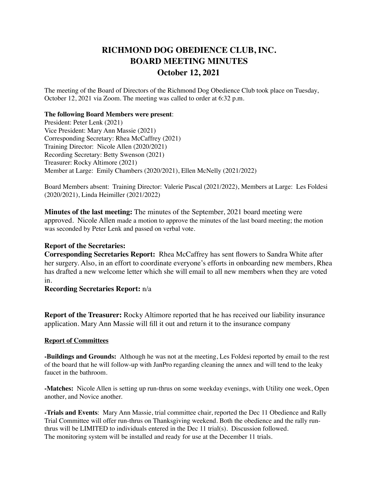# **RICHMOND DOG OBEDIENCE CLUB, INC. BOARD MEETING MINUTES October 12, 2021**

The meeting of the Board of Directors of the Richmond Dog Obedience Club took place on Tuesday, October 12, 2021 via Zoom. The meeting was called to order at 6:32 p.m.

#### **The following Board Members were present**:

President: Peter Lenk (2021) Vice President: Mary Ann Massie (2021) Corresponding Secretary: Rhea McCaffrey (2021) Training Director: Nicole Allen (2020/2021) Recording Secretary: Betty Swenson (2021) Treasurer: Rocky Altimore (2021) Member at Large: Emily Chambers (2020/2021), Ellen McNelly (2021/2022)

Board Members absent: Training Director: Valerie Pascal (2021/2022), Members at Large: Les Foldesi (2020/2021), Linda Heimiller (2021/2022)

**Minutes of the last meeting:** The minutes of the September, 2021 board meeting were approved. Nicole Allen made a motion to approve the minutes of the last board meeting; the motion was seconded by Peter Lenk and passed on verbal vote.

### **Report of the Secretaries:**

**Corresponding Secretaries Report:** Rhea McCaffrey has sent flowers to Sandra White after her surgery. Also, in an effort to coordinate everyone's efforts in onboarding new members, Rhea has drafted a new welcome letter which she will email to all new members when they are voted in.

## **Recording Secretaries Report:** n/a

**Report of the Treasurer:** Rocky Altimore reported that he has received our liability insurance application. Mary Ann Massie will fill it out and return it to the insurance company

### **Report of Committees**

**-Buildings and Grounds:** Although he was not at the meeting, Les Foldesi reported by email to the rest of the board that he will follow-up with JanPro regarding cleaning the annex and will tend to the leaky faucet in the bathroom.

**-Matches:** Nicole Allen is setting up run-thrus on some weekday evenings, with Utility one week, Open another, and Novice another.

**-Trials and Events**: Mary Ann Massie, trial committee chair, reported the Dec 11 Obedience and Rally Trial Committee will offer run-thrus on Thanksgiving weekend. Both the obedience and the rally runthrus will be LIMITED to individuals entered in the Dec 11 trial(s). Discussion followed. The monitoring system will be installed and ready for use at the December 11 trials.